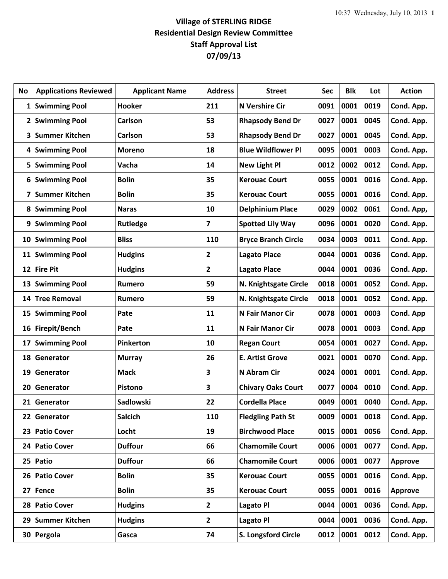## **Village of STERLING RIDGE Residential Design Review Committee Staff Approval List 07/09/13**

| No              | <b>Applications Reviewed</b> | <b>Applicant Name</b> | <b>Address</b> | <b>Street</b>              | Sec  | <b>Blk</b> | Lot  | <b>Action</b>  |
|-----------------|------------------------------|-----------------------|----------------|----------------------------|------|------------|------|----------------|
| $\mathbf{1}$    | <b>Swimming Pool</b>         | <b>Hooker</b>         | 211            | <b>N Vershire Cir</b>      | 0091 | 0001       | 0019 | Cond. App.     |
| $\mathbf{2}$    | <b>Swimming Pool</b>         | Carlson               | 53             | <b>Rhapsody Bend Dr</b>    | 0027 | 0001       | 0045 | Cond. App.     |
| 3               | <b>Summer Kitchen</b>        | Carlson               | 53             | <b>Rhapsody Bend Dr</b>    | 0027 | 0001       | 0045 | Cond. App.     |
| 4               | <b>Swimming Pool</b>         | <b>Moreno</b>         | 18             | <b>Blue Wildflower Pl</b>  | 0095 | 0001       | 0003 | Cond. App.     |
| 5               | <b>Swimming Pool</b>         | Vacha                 | 14             | <b>New Light Pl</b>        | 0012 | 0002       | 0012 | Cond. App.     |
| 6               | <b>Swimming Pool</b>         | <b>Bolin</b>          | 35             | <b>Kerouac Court</b>       | 0055 | 0001       | 0016 | Cond. App.     |
| 7               | <b>Summer Kitchen</b>        | <b>Bolin</b>          | 35             | <b>Kerouac Court</b>       | 0055 | 0001       | 0016 | Cond. App.     |
| 8               | <b>Swimming Pool</b>         | <b>Naras</b>          | 10             | <b>Delphinium Place</b>    | 0029 | 0002       | 0061 | Cond. App,     |
| 9               | <b>Swimming Pool</b>         | Rutledge              | 7              | <b>Spotted Lily Way</b>    | 0096 | 0001       | 0020 | Cond. App.     |
| 10              | <b>Swimming Pool</b>         | <b>Bliss</b>          | 110            | <b>Bryce Branch Circle</b> | 0034 | 0003       | 0011 | Cond. App.     |
| 11              | <b>Swimming Pool</b>         | <b>Hudgins</b>        | 2              | <b>Lagato Place</b>        | 0044 | 0001       | 0036 | Cond. App.     |
| 12              | <b>Fire Pit</b>              | <b>Hudgins</b>        | $\mathbf{2}$   | <b>Lagato Place</b>        | 0044 | 0001       | 0036 | Cond. App.     |
| 13              | <b>Swimming Pool</b>         | Rumero                | 59             | N. Knightsgate Circle      | 0018 | 0001       | 0052 | Cond. App.     |
| 14              | <b>Tree Removal</b>          | <b>Rumero</b>         | 59             | N. Knightsgate Circle      | 0018 | 0001       | 0052 | Cond. App.     |
| 15              | <b>Swimming Pool</b>         | Pate                  | 11             | <b>N Fair Manor Cir</b>    | 0078 | 0001       | 0003 | Cond. App      |
| 16              | Firepit/Bench                | Pate                  | 11             | <b>N Fair Manor Cir</b>    | 0078 | 0001       | 0003 | Cond. App      |
| 17              | <b>Swimming Pool</b>         | Pinkerton             | 10             | <b>Regan Court</b>         | 0054 | 0001       | 0027 | Cond. App.     |
| 18              | Generator                    | <b>Murray</b>         | 26             | <b>E. Artist Grove</b>     | 0021 | 0001       | 0070 | Cond. App.     |
| 19              | Generator                    | <b>Mack</b>           | 3              | N Abram Cir                | 0024 | 0001       | 0001 | Cond. App.     |
| 20              | Generator                    | Pistono               | 3              | <b>Chivary Oaks Court</b>  | 0077 | 0004       | 0010 | Cond. App.     |
| 21              | Generator                    | Sadlowski             | 22             | <b>Cordella Place</b>      | 0049 | 0001       | 0040 | Cond. App.     |
| 22              | Generator                    | <b>Salcich</b>        | 110            | <b>Fledgling Path St</b>   | 0009 | 0001       | 0018 | Cond. App.     |
| 23              | <b>Patio Cover</b>           | Locht                 | 19             | <b>Birchwood Place</b>     | 0015 | 0001       | 0056 | Cond. App.     |
| 24 <sub>1</sub> | <b>Patio Cover</b>           | <b>Duffour</b>        | 66             | <b>Chamomile Court</b>     | 0006 | 0001       | 0077 | Cond. App.     |
| 25              | Patio                        | <b>Duffour</b>        | 66             | <b>Chamomile Court</b>     | 0006 | 0001       | 0077 | Approve        |
| 26              | <b>Patio Cover</b>           | <b>Bolin</b>          | 35             | <b>Kerouac Court</b>       | 0055 | 0001       | 0016 | Cond. App.     |
| 27              | Fence                        | <b>Bolin</b>          | 35             | <b>Kerouac Court</b>       | 0055 | 0001       | 0016 | <b>Approve</b> |
| 28 <sub>1</sub> | <b>Patio Cover</b>           | <b>Hudgins</b>        | $\mathbf{2}$   | Lagato Pl                  | 0044 | 0001       | 0036 | Cond. App.     |
| 29              | <b>Summer Kitchen</b>        | <b>Hudgins</b>        | $\mathbf{2}$   | <b>Lagato Pl</b>           | 0044 | 0001       | 0036 | Cond. App.     |
| 30 <sup>°</sup> | Pergola                      | Gasca                 | 74             | S. Longsford Circle        | 0012 | 0001       | 0012 | Cond. App.     |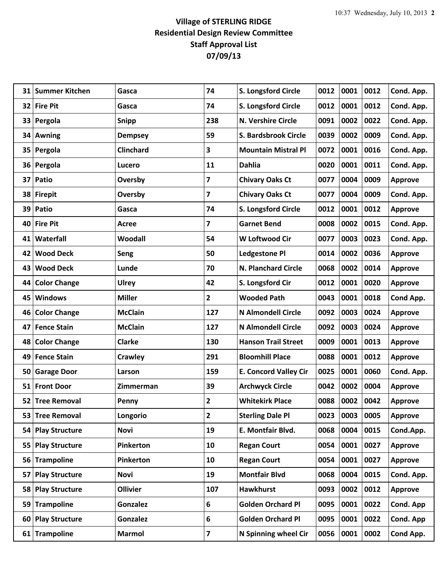## **Village of STERLING RIDGE Residential Design Review Committee Staff Approval List 07/09/13**

| 31              | <b>Summer Kitchen</b> | Gasca            | 74                      | S. Longsford Circle          | 0012 | 0001 | 0012 | Cond. App.     |
|-----------------|-----------------------|------------------|-------------------------|------------------------------|------|------|------|----------------|
| 32              | <b>Fire Pit</b>       | Gasca            | 74                      | S. Longsford Circle          | 0012 | 0001 | 0012 | Cond. App.     |
| 33              | Pergola               | Snipp            | 238                     | <b>N. Vershire Circle</b>    | 0091 | 0002 | 0022 | Cond. App.     |
|                 | 34 Awning             | <b>Dempsey</b>   | 59                      | S. Bardsbrook Circle         | 0039 | 0002 | 0009 | Cond. App.     |
| 35 <sub>1</sub> | Pergola               | <b>Clinchard</b> | 3                       | <b>Mountain Mistral Pl</b>   | 0072 | 0001 | 0016 | Cond. App.     |
| 36              | Pergola               | Lucero           | 11                      | <b>Dahlia</b>                | 0020 | 0001 | 0011 | Cond. App.     |
| 37              | Patio                 | Oversby          | 7                       | <b>Chivary Oaks Ct</b>       | 0077 | 0004 | 0009 | <b>Approve</b> |
|                 | 38 Firepit            | Oversby          | 7                       | <b>Chivary Oaks Ct</b>       | 0077 | 0004 | 0009 | Cond. App.     |
| 39              | Patio                 | Gasca            | 74                      | <b>S. Longsford Circle</b>   | 0012 | 0001 | 0012 | <b>Approve</b> |
| 40              | <b>Fire Pit</b>       | Acree            | 7                       | <b>Garnet Bend</b>           | 0008 | 0002 | 0015 | Cond. App.     |
| 41              | Waterfall             | Woodall          | 54                      | <b>W Loftwood Cir</b>        | 0077 | 0003 | 0023 | Cond. App.     |
| 42              | <b>Wood Deck</b>      | Seng             | 50                      | <b>Ledgestone Pl</b>         | 0014 | 0002 | 0036 | <b>Approve</b> |
| 43              | <b>Wood Deck</b>      | Lunde            | 70                      | N. Planchard Circle          | 0068 | 0002 | 0014 | <b>Approve</b> |
| 44              | <b>Color Change</b>   | <b>Ulrey</b>     | 42                      | S. Longsford Cir             | 0012 | 0001 | 0020 | <b>Approve</b> |
| 45              | <b>Windows</b>        | <b>Miller</b>    | $\mathbf{2}$            | <b>Wooded Path</b>           | 0043 | 0001 | 0018 | Cond App.      |
| 46              | <b>Color Change</b>   | <b>McClain</b>   | 127                     | <b>N Almondell Circle</b>    | 0092 | 0003 | 0024 | <b>Approve</b> |
| 47              | <b>Fence Stain</b>    | <b>McClain</b>   | 127                     | <b>N Almondell Circle</b>    | 0092 | 0003 | 0024 | <b>Approve</b> |
| 48              | <b>Color Change</b>   | <b>Clarke</b>    | 130                     | <b>Hanson Trail Street</b>   | 0009 | 0001 | 0013 | <b>Approve</b> |
| 49              | <b>Fence Stain</b>    | <b>Crawley</b>   | 291                     | <b>Bloomhill Place</b>       | 0088 | 0001 | 0012 | <b>Approve</b> |
| 50              | <b>Garage Door</b>    | Larson           | 159                     | <b>E. Concord Valley Cir</b> | 0025 | 0001 | 0060 | Cond. App.     |
|                 | 51 Front Door         | Zimmerman        | 39                      | <b>Archwyck Circle</b>       | 0042 | 0002 | 0004 | <b>Approve</b> |
| 52              | <b>Tree Removal</b>   | Penny            | $\overline{2}$          | <b>Whitekirk Place</b>       | 0088 | 0002 | 0042 | <b>Approve</b> |
| 53              | <b>Tree Removal</b>   | Longorio         | $\overline{\mathbf{c}}$ | <b>Sterling Dale Pl</b>      | 0023 | 0003 | 0005 | <b>Approve</b> |
| 54              | <b>Play Structure</b> | <b>Novi</b>      | 19                      | E. Montfair Blvd.            | 0068 | 0004 | 0015 | Cond.App.      |
| 55              | <b>Play Structure</b> | Pinkerton        | 10                      | <b>Regan Court</b>           | 0054 | 0001 | 0027 | <b>Approve</b> |
| 56              | <b>Trampoline</b>     | Pinkerton        | 10                      | <b>Regan Court</b>           | 0054 | 0001 | 0027 | <b>Approve</b> |
| 57              | <b>Play Structure</b> | <b>Novi</b>      | 19                      | <b>Montfair Blvd</b>         | 0068 | 0004 | 0015 | Cond. App.     |
| 58              | <b>Play Structure</b> | <b>Ollivier</b>  | 107                     | <b>Hawkhurst</b>             | 0093 | 0002 | 0012 | <b>Approve</b> |
| 59              | <b>Trampoline</b>     | <b>Gonzalez</b>  | 6                       | <b>Golden Orchard Pl</b>     | 0095 | 0001 | 0022 | Cond. App      |
| 60              | <b>Play Structure</b> | <b>Gonzalez</b>  | 6                       | <b>Golden Orchard Pl</b>     | 0095 | 0001 | 0022 | Cond. App      |
|                 | 61 Trampoline         | <b>Marmol</b>    | 7                       | N Spinning wheel Cir         | 0056 | 0001 | 0002 | Cond App.      |